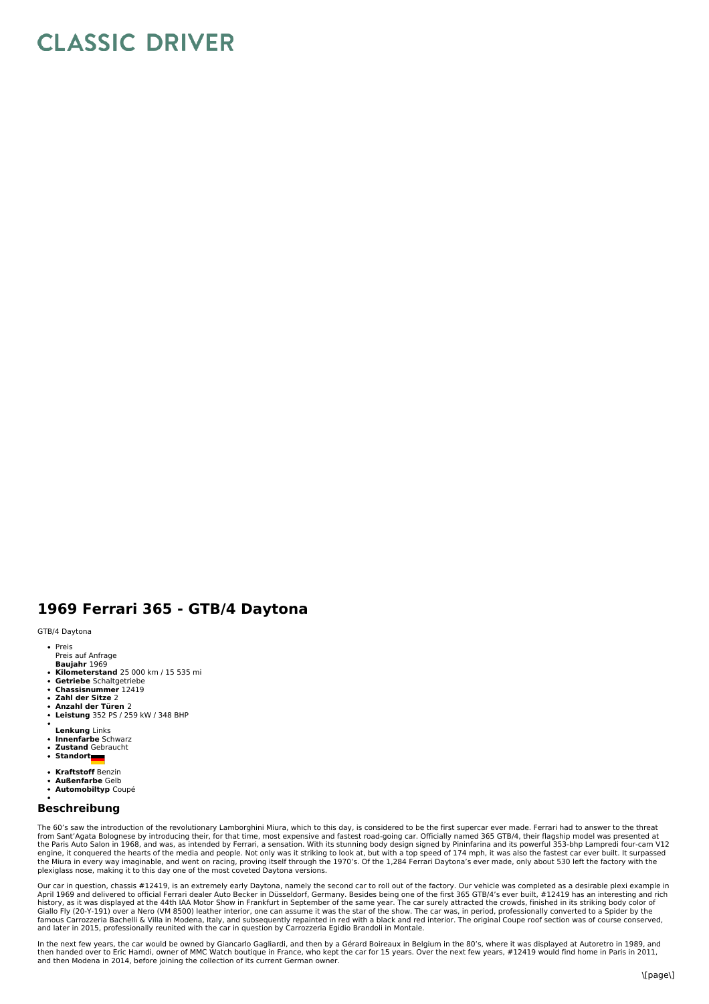## **CLASSIC DRIVER**

## **1969 Ferrari 365 - GTB/4 Daytona**

GTB/4 Daytona

- Preis
- **Baujahr** 1969 Preis auf Anfrage
- **Kilometerstand** 25 000 km / 15 535 mi
- 
- **Getriebe** Schaltgetriebe **Chassisnummer** 12419
- $\bullet$ **Zahl der Sitze** 2
- **Anzahl der Türen** 2
- **Leistung** 352 PS / 259 kW / 348 BHP
- 
- **Lenkung** Links  $\ddot{\phantom{0}}$
- **Innenfarbe** Schwarz **Zustand** Gebraucht
- **Standort**
- 
- **Kraftstoff** Benzin
- **Außenfarbe** Gelb
- **Automobiltyp** Coupé

## **Beschreibung**

The 60's saw the introduction of the revolutionary Lamborghini Miura, which to this day, is considered to be the first supercar ever made. Ferrari had to answer to the threat from Sant'Agata Bolognese by introducing their, for that time, most expensive and fastest road-going car. Officially named 365 GTB/4, their flagship model was presented at<br>the Paris Auto Salon in 1968, and was, as intended the Miura in every way imaginable, and went on racing, proving itself through the 1970's. Of the 1,284 Ferrari Daytona's ever made, only about 530 left the factory with the<br>plexiglass nose, making it to this day one of the

Our car in question, chassis #12419, is an extremely early Daytona, namely the second car to roll out of the factory. Our vehicle was completed as a desirable plexi example in<br>April 1969 and delivered to official Ferrari d famous Carrozzeria Bachelli & Villa in Modena, Italy, and subsequently repainted in red with a black and red interior. The original Coupe roof section was of course conserved,<br>and later in 2015, professionally reunited wit

In the next few years, the car would be owned by Giancarlo Gagliardi, and then by a Gérard Boireaux in Belgium in the 80's, where it was displayed at Autoretro in 1989, and<br>then handed over to Eric Hamdi, owner of MMC Watc and then Modena in 2014, before joining the collection of its current German owner.